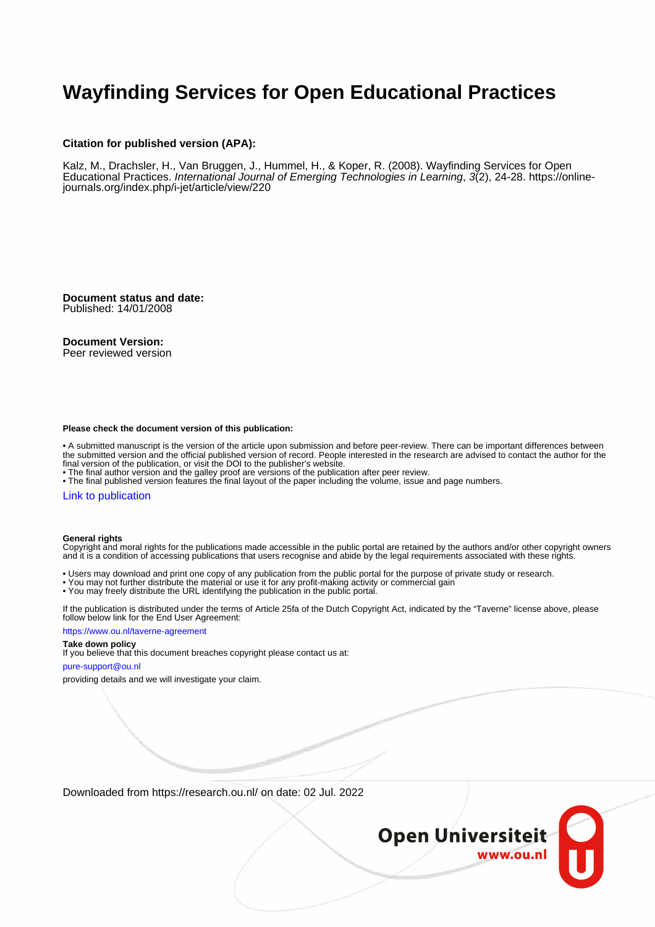## **Wayfinding Services for Open Educational Practices**

#### **Citation for published version (APA):**

Kalz, M., Drachsler, H., Van Bruggen, J., Hummel, H., & Koper, R. (2008). Wayfinding Services for Open Educational Practices. International Journal of Emerging Technologies in Learning, 3(2), 24-28. [https://online](https://online-journals.org/index.php/i-jet/article/view/220)[journals.org/index.php/i-jet/article/view/220](https://online-journals.org/index.php/i-jet/article/view/220)

**Document status and date:** Published: 14/01/2008

#### **Document Version:**

Peer reviewed version

#### **Please check the document version of this publication:**

• A submitted manuscript is the version of the article upon submission and before peer-review. There can be important differences between the submitted version and the official published version of record. People interested in the research are advised to contact the author for the final version of the publication, or visit the DOI to the publisher's website.

• The final author version and the galley proof are versions of the publication after peer review.

• The final published version features the final layout of the paper including the volume, issue and page numbers.

#### [Link to publication](https://research.ou.nl/en/publications/b986db59-ab41-40a5-88c2-7df4bb25c03a)

#### **General rights**

Copyright and moral rights for the publications made accessible in the public portal are retained by the authors and/or other copyright owners and it is a condition of accessing publications that users recognise and abide by the legal requirements associated with these rights.

- Users may download and print one copy of any publication from the public portal for the purpose of private study or research.
- You may not further distribute the material or use it for any profit-making activity or commercial gain
- You may freely distribute the URL identifying the publication in the public portal.

If the publication is distributed under the terms of Article 25fa of the Dutch Copyright Act, indicated by the "Taverne" license above, please follow below link for the End User Agreement:

#### https://www.ou.nl/taverne-agreement

### **Take down policy**

If you believe that this document breaches copyright please contact us at:

#### pure-support@ou.nl

providing details and we will investigate your claim.

Downloaded from https://research.ou.nl/ on date: 02 Jul. 2022

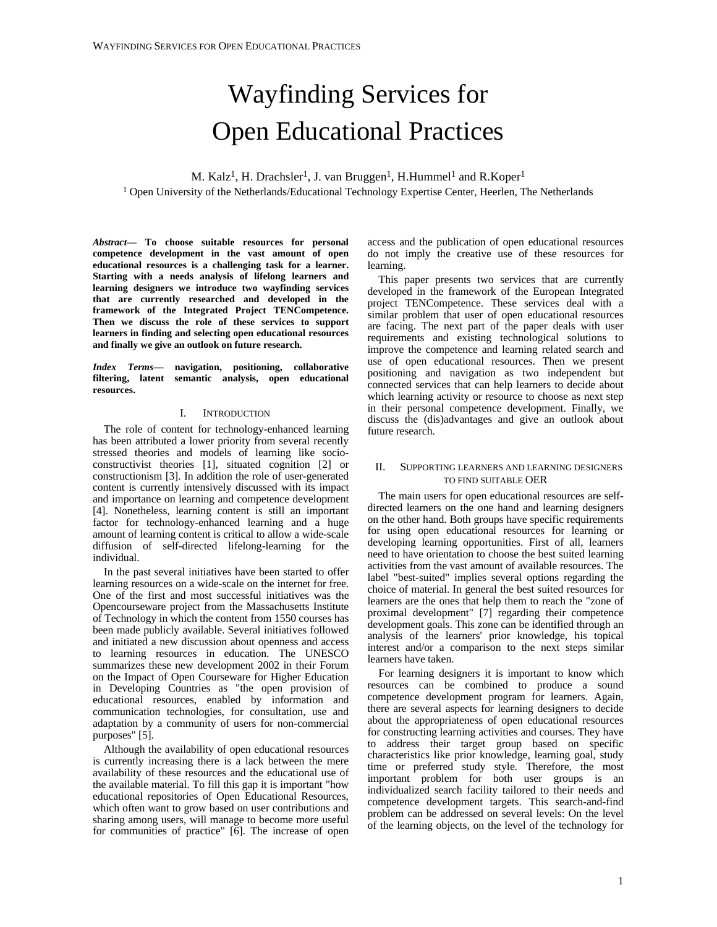# Wayfinding Services for Open Educational Practices

M. Kalz<sup>1</sup>, H. Drachsler<sup>1</sup>, J. van Bruggen<sup>1</sup>, H. Hummel<sup>1</sup> and R. Koper<sup>1</sup> 1 Open University of the Netherlands/Educational Technology Expertise Center, Heerlen, The Netherlands

*Abstract***— To choose suitable resources for personal competence development in the vast amount of open educational resources is a challenging task for a learner. Starting with a needs analysis of lifelong learners and learning designers we introduce two wayfinding services that are currently researched and developed in the framework of the Integrated Project TENCompetence. Then we discuss the role of these services to support learners in finding and selecting open educational resources and finally we give an outlook on future research.** 

*Index Terms***— navigation, positioning, collaborative filtering, latent semantic analysis, open educational resources.** 

#### I. INTRODUCTION

The role of content for technology-enhanced learning has been attributed a lower priority from several recently stressed theories and models of learning like socioconstructivist theories [1], situated cognition [2] or constructionism [3]. In addition the role of user-generated content is currently intensively discussed with its impact and importance on learning and competence development [4]. Nonetheless, learning content is still an important factor for technology-enhanced learning and a huge amount of learning content is critical to allow a wide-scale diffusion of self-directed lifelong-learning for the individual.

In the past several initiatives have been started to offer learning resources on a wide-scale on the internet for free. One of the first and most successful initiatives was the Opencourseware project from the Massachusetts Institute of Technology in which the content from 1550 courses has been made publicly available. Several initiatives followed and initiated a new discussion about openness and access to learning resources in education. The UNESCO summarizes these new development 2002 in their Forum on the Impact of Open Courseware for Higher Education in Developing Countries as "the open provision of educational resources, enabled by information and communication technologies, for consultation, use and adaptation by a community of users for non-commercial purposes" [5].

Although the availability of open educational resources is currently increasing there is a lack between the mere availability of these resources and the educational use of the available material. To fill this gap it is important "how educational repositories of Open Educational Resources, which often want to grow based on user contributions and sharing among users, will manage to become more useful for communities of practice" [6]. The increase of open

access and the publication of open educational resources do not imply the creative use of these resources for learning.

This paper presents two services that are currently developed in the framework of the European Integrated project TENCompetence. These services deal with a similar problem that user of open educational resources are facing. The next part of the paper deals with user requirements and existing technological solutions to improve the competence and learning related search and use of open educational resources. Then we present positioning and navigation as two independent but connected services that can help learners to decide about which learning activity or resource to choose as next step in their personal competence development. Finally, we discuss the (dis)advantages and give an outlook about future research.

#### II. SUPPORTING LEARNERS AND LEARNING DESIGNERS TO FIND SUITABLE OER

The main users for open educational resources are selfdirected learners on the one hand and learning designers on the other hand. Both groups have specific requirements for using open educational resources for learning or developing learning opportunities. First of all, learners need to have orientation to choose the best suited learning activities from the vast amount of available resources. The label "best-suited" implies several options regarding the choice of material. In general the best suited resources for learners are the ones that help them to reach the "zone of proximal development" [7] regarding their competence development goals. This zone can be identified through an analysis of the learners' prior knowledge, his topical interest and/or a comparison to the next steps similar learners have taken.

For learning designers it is important to know which resources can be combined to produce a sound competence development program for learners. Again, there are several aspects for learning designers to decide about the appropriateness of open educational resources for constructing learning activities and courses. They have to address their target group based on specific characteristics like prior knowledge, learning goal, study time or preferred study style. Therefore, the most important problem for both user groups is an individualized search facility tailored to their needs and competence development targets. This search-and-find problem can be addressed on several levels: On the level of the learning objects, on the level of the technology for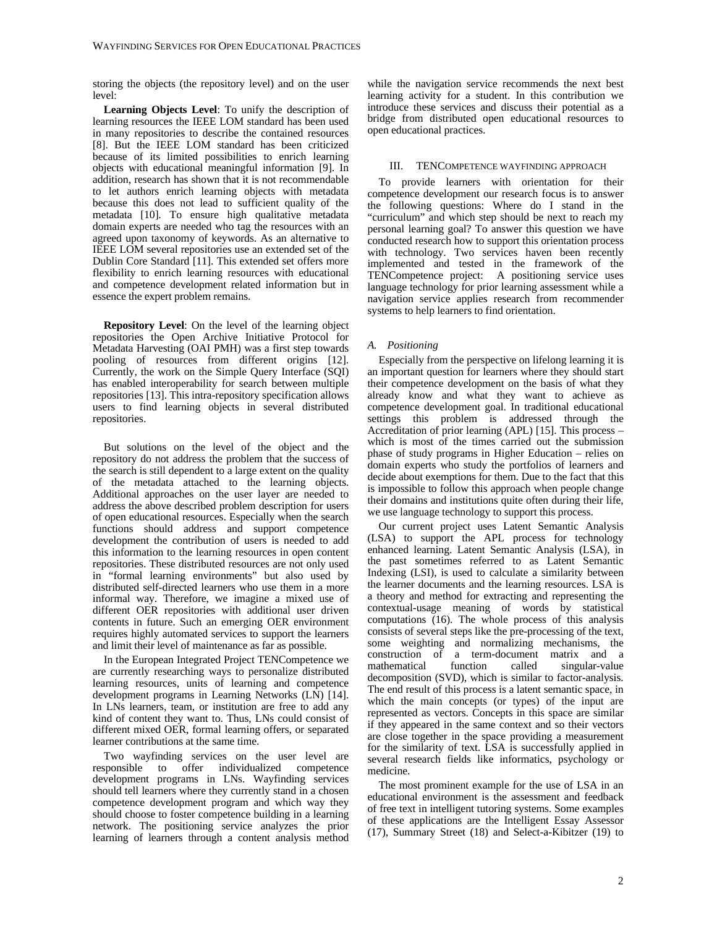storing the objects (the repository level) and on the user level:

**Learning Objects Level**: To unify the description of learning resources the IEEE LOM standard has been used in many repositories to describe the contained resources [8]. But the IEEE LOM standard has been criticized because of its limited possibilities to enrich learning objects with educational meaningful information [9]. In addition, research has shown that it is not recommendable to let authors enrich learning objects with metadata because this does not lead to sufficient quality of the metadata [10]. To ensure high qualitative metadata domain experts are needed who tag the resources with an agreed upon taxonomy of keywords. As an alternative to IEEE LOM several repositories use an extended set of the Dublin Core Standard [11]. This extended set offers more flexibility to enrich learning resources with educational and competence development related information but in essence the expert problem remains.

**Repository Level**: On the level of the learning object repositories the Open Archive Initiative Protocol for Metadata Harvesting (OAI PMH) was a first step towards pooling of resources from different origins [12]. Currently, the work on the Simple Query Interface (SQI) has enabled interoperability for search between multiple repositories [13]. This intra-repository specification allows users to find learning objects in several distributed repositories.

But solutions on the level of the object and the repository do not address the problem that the success of the search is still dependent to a large extent on the quality of the metadata attached to the learning objects. Additional approaches on the user layer are needed to address the above described problem description for users of open educational resources. Especially when the search functions should address and support competence development the contribution of users is needed to add this information to the learning resources in open content repositories. These distributed resources are not only used in "formal learning environments" but also used by distributed self-directed learners who use them in a more informal way. Therefore, we imagine a mixed use of different OER repositories with additional user driven contents in future. Such an emerging OER environment requires highly automated services to support the learners and limit their level of maintenance as far as possible.

In the European Integrated Project TENCompetence we are currently researching ways to personalize distributed learning resources, units of learning and competence development programs in Learning Networks (LN) [14]. In LNs learners, team, or institution are free to add any kind of content they want to. Thus, LNs could consist of different mixed OER, formal learning offers, or separated learner contributions at the same time.

Two wayfinding services on the user level are responsible to offer individualized competence development programs in LNs. Wayfinding services should tell learners where they currently stand in a chosen competence development program and which way they should choose to foster competence building in a learning network. The positioning service analyzes the prior learning of learners through a content analysis method

while the navigation service recommends the next best learning activity for a student. In this contribution we introduce these services and discuss their potential as a bridge from distributed open educational resources to open educational practices.

#### III. TENCOMPETENCE WAYFINDING APPROACH

To provide learners with orientation for their competence development our research focus is to answer the following questions: Where do I stand in the "curriculum" and which step should be next to reach my personal learning goal? To answer this question we have conducted research how to support this orientation process with technology. Two services haven been recently implemented and tested in the framework of the TENCompetence project: A positioning service uses language technology for prior learning assessment while a navigation service applies research from recommender systems to help learners to find orientation.

#### *A. Positioning*

Especially from the perspective on lifelong learning it is an important question for learners where they should start their competence development on the basis of what they already know and what they want to achieve as competence development goal. In traditional educational settings this problem is addressed through the Accreditation of prior learning (APL) [15]. This process – which is most of the times carried out the submission phase of study programs in Higher Education – relies on domain experts who study the portfolios of learners and decide about exemptions for them. Due to the fact that this is impossible to follow this approach when people change their domains and institutions quite often during their life, we use language technology to support this process.

Our current project uses Latent Semantic Analysis (LSA) to support the APL process for technology enhanced learning. Latent Semantic Analysis (LSA), in the past sometimes referred to as Latent Semantic Indexing (LSI), is used to calculate a similarity between the learner documents and the learning resources. LSA is a theory and method for extracting and representing the contextual-usage meaning of words by statistical computations (16). The whole process of this analysis consists of several steps like the pre-processing of the text, some weighting and normalizing mechanisms, the construction of a term-document matrix and a mathematical function called singular-value decomposition (SVD), which is similar to factor-analysis. The end result of this process is a latent semantic space, in which the main concepts (or types) of the input are represented as vectors. Concepts in this space are similar if they appeared in the same context and so their vectors are close together in the space providing a measurement for the similarity of text. LSA is successfully applied in several research fields like informatics, psychology or medicine.

The most prominent example for the use of LSA in an educational environment is the assessment and feedback of free text in intelligent tutoring systems. Some examples of these applications are the Intelligent Essay Assessor (17), Summary Street (18) and Select-a-Kibitzer (19) to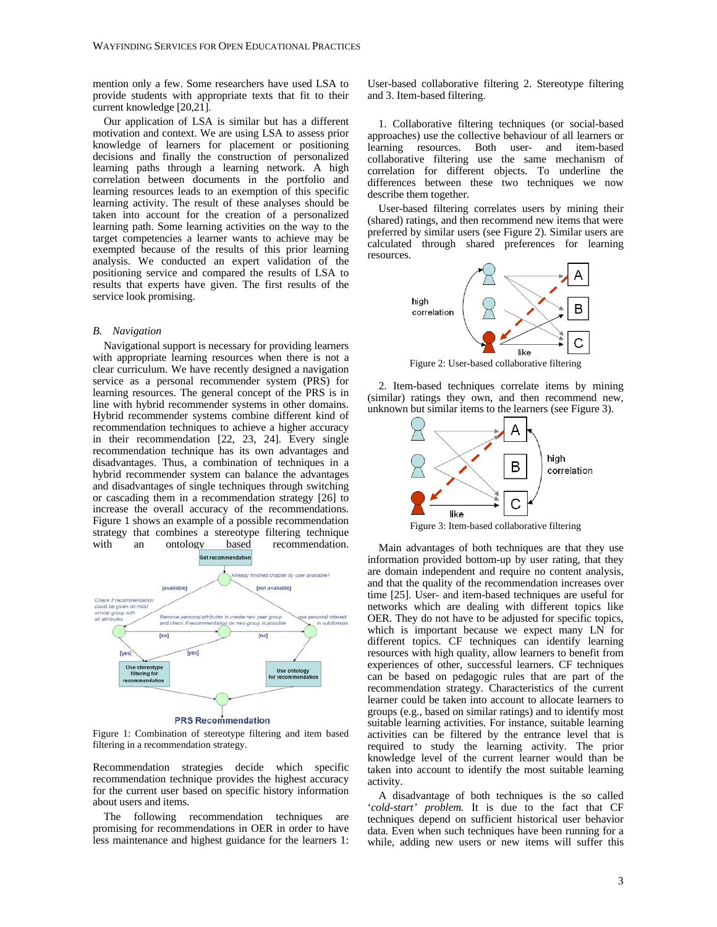mention only a few. Some researchers have used LSA to provide students with appropriate texts that fit to their current knowledge [20,21].

Our application of LSA is similar but has a different motivation and context. We are using LSA to assess prior knowledge of learners for placement or positioning decisions and finally the construction of personalized learning paths through a learning network. A high correlation between documents in the portfolio and learning resources leads to an exemption of this specific learning activity. The result of these analyses should be taken into account for the creation of a personalized learning path. Some learning activities on the way to the target competencies a learner wants to achieve may be exempted because of the results of this prior learning analysis. We conducted an expert validation of the positioning service and compared the results of LSA to results that experts have given. The first results of the service look promising.

#### *B. Navigation*

Navigational support is necessary for providing learners with appropriate learning resources when there is not a clear curriculum. We have recently designed a navigation service as a personal recommender system (PRS) for learning resources. The general concept of the PRS is in line with hybrid recommender systems in other domains. Hybrid recommender systems combine different kind of recommendation techniques to achieve a higher accuracy in their recommendation [22, 23, 24]. Every single recommendation technique has its own advantages and disadvantages. Thus, a combination of techniques in a hybrid recommender system can balance the advantages and disadvantages of single techniques through switching or cascading them in a recommendation strategy [26] to increase the overall accuracy of the recommendations. Figure 1 shows an example of a possible recommendation strategy that combines a stereotype filtering technique with an ontology based recommendation.



Figure 1: Combination of stereotype filtering and item based filtering in a recommendation strategy.

Recommendation strategies decide which specific recommendation technique provides the highest accuracy for the current user based on specific history information about users and items.

The following recommendation techniques are promising for recommendations in OER in order to have less maintenance and highest guidance for the learners 1: User-based collaborative filtering 2. Stereotype filtering and 3. Item-based filtering.

1. Collaborative filtering techniques (or social-based approaches) use the collective behaviour of all learners or learning resources. Both user- and item-based collaborative filtering use the same mechanism of correlation for different objects. To underline the differences between these two techniques we now describe them together.

User-based filtering correlates users by mining their (shared) ratings, and then recommend new items that were preferred by similar users (see Figure 2). Similar users are calculated through shared preferences for learning resources.



Figure 2: User-based collaborative filtering

2. Item-based techniques correlate items by mining (similar) ratings they own, and then recommend new, unknown but similar items to the learners (see Figure 3).



Figure 3: Item-based collaborative filtering

Main advantages of both techniques are that they use information provided bottom-up by user rating, that they are domain independent and require no content analysis, and that the quality of the recommendation increases over time [25]. User- and item-based techniques are useful for networks which are dealing with different topics like OER. They do not have to be adjusted for specific topics, which is important because we expect many LN for different topics. CF techniques can identify learning resources with high quality, allow learners to benefit from experiences of other, successful learners. CF techniques can be based on pedagogic rules that are part of the recommendation strategy. Characteristics of the current learner could be taken into account to allocate learners to groups (e.g., based on similar ratings) and to identify most suitable learning activities. For instance, suitable learning activities can be filtered by the entrance level that is required to study the learning activity. The prior knowledge level of the current learner would than be taken into account to identify the most suitable learning activity.

A disadvantage of both techniques is the so called '*cold-start' problem.* It is due to the fact that CF techniques depend on sufficient historical user behavior data. Even when such techniques have been running for a while, adding new users or new items will suffer this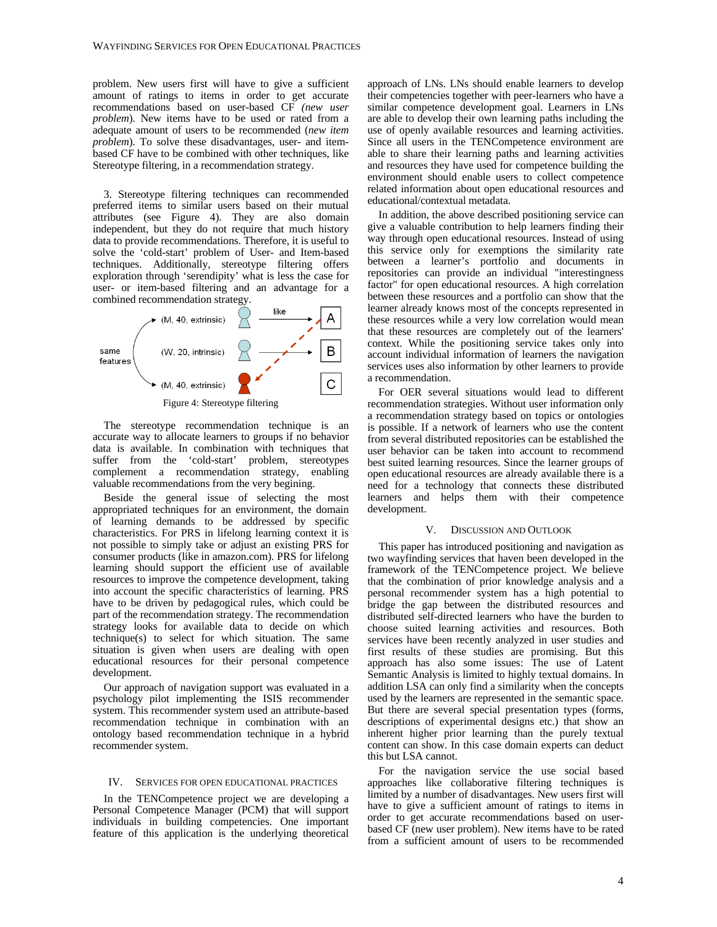problem. New users first will have to give a sufficient amount of ratings to items in order to get accurate recommendations based on user-based CF *(new user problem*). New items have to be used or rated from a adequate amount of users to be recommended (*new item problem*). To solve these disadvantages, user- and itembased CF have to be combined with other techniques, like Stereotype filtering, in a recommendation strategy.

3. Stereotype filtering techniques can recommended preferred items to similar users based on their mutual attributes (see Figure 4). They are also domain independent, but they do not require that much history data to provide recommendations. Therefore, it is useful to solve the 'cold-start' problem of User- and Item-based techniques. Additionally, stereotype filtering offers exploration through 'serendipity' what is less the case for user- or item-based filtering and an advantage for a combined recommendation strategy.



The stereotype recommendation technique is an accurate way to allocate learners to groups if no behavior data is available. In combination with techniques that suffer from the 'cold-start' problem, stereotypes complement a recommendation strategy, enabling valuable recommendations from the very begining.

Beside the general issue of selecting the most appropriated techniques for an environment, the domain of learning demands to be addressed by specific characteristics. For PRS in lifelong learning context it is not possible to simply take or adjust an existing PRS for consumer products (like in amazon.com). PRS for lifelong learning should support the efficient use of available resources to improve the competence development, taking into account the specific characteristics of learning. PRS have to be driven by pedagogical rules, which could be part of the recommendation strategy. The recommendation strategy looks for available data to decide on which technique(s) to select for which situation. The same situation is given when users are dealing with open educational resources for their personal competence development.

Our approach of navigation support was evaluated in a psychology pilot implementing the ISIS recommender system. This recommender system used an attribute-based recommendation technique in combination with an ontology based recommendation technique in a hybrid recommender system.

#### IV. SERVICES FOR OPEN EDUCATIONAL PRACTICES

In the TENCompetence project we are developing a Personal Competence Manager (PCM) that will support individuals in building competencies. One important feature of this application is the underlying theoretical

approach of LNs. LNs should enable learners to develop their competencies together with peer-learners who have a similar competence development goal. Learners in LNs are able to develop their own learning paths including the use of openly available resources and learning activities. Since all users in the TENCompetence environment are able to share their learning paths and learning activities and resources they have used for competence building the environment should enable users to collect competence related information about open educational resources and educational/contextual metadata.

In addition, the above described positioning service can give a valuable contribution to help learners finding their way through open educational resources. Instead of using this service only for exemptions the similarity rate between a learner's portfolio and documents in repositories can provide an individual "interestingness factor" for open educational resources. A high correlation between these resources and a portfolio can show that the learner already knows most of the concepts represented in these resources while a very low correlation would mean that these resources are completely out of the learners' context. While the positioning service takes only into account individual information of learners the navigation services uses also information by other learners to provide a recommendation.

For OER several situations would lead to different recommendation strategies. Without user information only a recommendation strategy based on topics or ontologies is possible. If a network of learners who use the content from several distributed repositories can be established the user behavior can be taken into account to recommend best suited learning resources. Since the learner groups of open educational resources are already available there is a need for a technology that connects these distributed learners and helps them with their competence development.

#### V. DISCUSSION AND OUTLOOK

This paper has introduced positioning and navigation as two wayfinding services that haven been developed in the framework of the TENCompetence project. We believe that the combination of prior knowledge analysis and a personal recommender system has a high potential to bridge the gap between the distributed resources and distributed self-directed learners who have the burden to choose suited learning activities and resources. Both services have been recently analyzed in user studies and first results of these studies are promising. But this approach has also some issues: The use of Latent Semantic Analysis is limited to highly textual domains. In addition LSA can only find a similarity when the concepts used by the learners are represented in the semantic space. But there are several special presentation types (forms, descriptions of experimental designs etc.) that show an inherent higher prior learning than the purely textual content can show. In this case domain experts can deduct this but LSA cannot.

For the navigation service the use social based approaches like collaborative filtering techniques is limited by a number of disadvantages. New users first will have to give a sufficient amount of ratings to items in order to get accurate recommendations based on userbased CF (new user problem). New items have to be rated from a sufficient amount of users to be recommended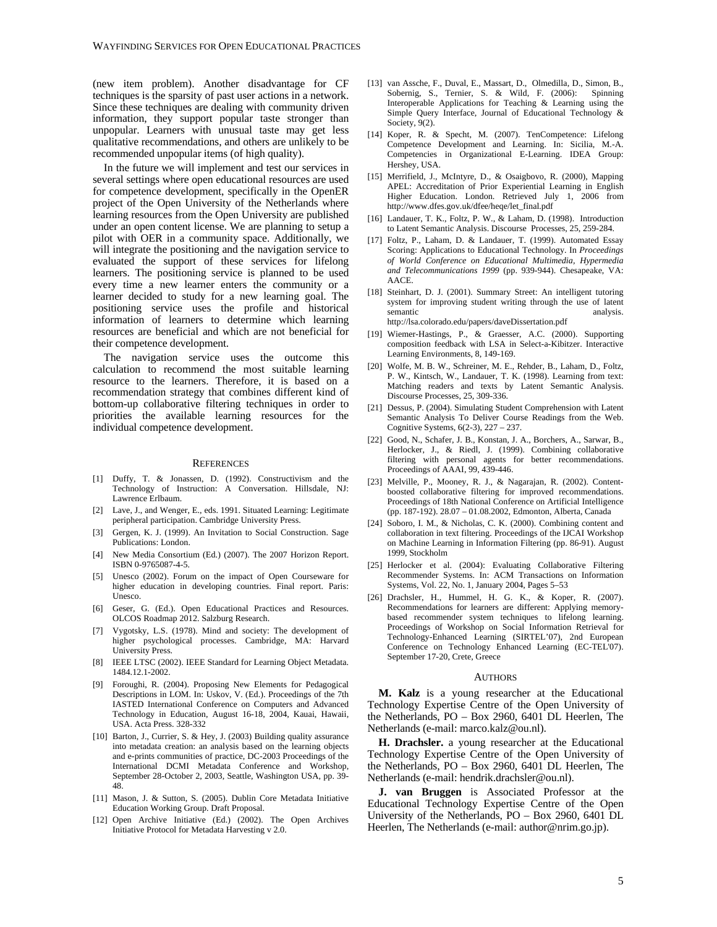(new item problem). Another disadvantage for CF techniques is the sparsity of past user actions in a network. Since these techniques are dealing with community driven information, they support popular taste stronger than unpopular. Learners with unusual taste may get less qualitative recommendations, and others are unlikely to be recommended unpopular items (of high quality).

In the future we will implement and test our services in several settings where open educational resources are used for competence development, specifically in the OpenER project of the Open University of the Netherlands where learning resources from the Open University are published under an open content license. We are planning to setup a pilot with OER in a community space. Additionally, we will integrate the positioning and the navigation service to evaluated the support of these services for lifelong learners. The positioning service is planned to be used every time a new learner enters the community or a learner decided to study for a new learning goal. The positioning service uses the profile and historical information of learners to determine which learning resources are beneficial and which are not beneficial for their competence development.

The navigation service uses the outcome this calculation to recommend the most suitable learning resource to the learners. Therefore, it is based on a recommendation strategy that combines different kind of bottom-up collaborative filtering techniques in order to priorities the available learning resources for the individual competence development.

#### **REFERENCES**

- [1] Duffy, T. & Jonassen, D. (1992). Constructivism and the Technology of Instruction: A Conversation. Hillsdale, NJ: Lawrence Erlbaum.
- [2] Lave, J., and Wenger, E., eds. 1991. Situated Learning: Legitimate peripheral participation. Cambridge University Press.
- [3] Gergen, K. J. (1999). An Invitation to Social Construction. Sage Publications: London.
- [4] New Media Consortium (Ed.) (2007). The 2007 Horizon Report. ISBN 0-9765087-4-5.
- [5] Unesco (2002). Forum on the impact of Open Courseware for higher education in developing countries. Final report. Paris: Unesco.
- [6] Geser, G. (Ed.). Open Educational Practices and Resources. OLCOS Roadmap 2012. Salzburg Research.
- [7] Vygotsky, L.S. (1978). Mind and society: The development of higher psychological processes. Cambridge, MA: Harvard University Press.
- [8] IEEE LTSC (2002). IEEE Standard for Learning Object Metadata. 1484.12.1-2002.
- [9] Foroughi, R. (2004). Proposing New Elements for Pedagogical Descriptions in LOM. In: Uskov, V. (Ed.). Proceedings of the 7th IASTED International Conference on Computers and Advanced Technology in Education, August 16-18, 2004, Kauai, Hawaii, USA. Acta Press. 328-332
- [10] Barton, J., Currier, S. & Hey, J. (2003) Building quality assurance into metadata creation: an analysis based on the learning objects and e-prints communities of practice, DC-2003 Proceedings of the International DCMI Metadata Conference and Workshop, September 28-October 2, 2003, Seattle, Washington USA, pp. 39- 48.
- [11] Mason, J. & Sutton, S. (2005). Dublin Core Metadata Initiative Education Working Group. Draft Proposal.
- [12] Open Archive Initiative (Ed.) (2002). The Open Archives Initiative Protocol for Metadata Harvesting v 2.0.
- [13] van Assche, F., Duval, E., Massart, D., Olmedilla, D., Simon, B., Sobernig, S., Ternier, S. & Wild, F. (2006): Spinning Interoperable Applications for Teaching & Learning using the Simple Query Interface, Journal of Educational Technology & Society, 9(2).
- [14] Koper, R. & Specht, M. (2007). TenCompetence: Lifelong Competence Development and Learning. In: Sicilia, M.-A. Competencies in Organizational E-Learning. IDEA Group: Hershey, USA.
- [15] Merrifield, J., McIntyre, D., & Osaigbovo, R. (2000), Mapping APEL: Accreditation of Prior Experiential Learning in English Higher Education. London. Retrieved July 1, 2006 from http://www.dfes.gov.uk/dfee/heqe/let\_final.pdf
- [16] Landauer, T. K., Foltz, P. W., & Laham, D. (1998). Introduction to Latent Semantic Analysis. Discourse Processes, 25, 259-284.
- [17] Foltz, P., Laham, D. & Landauer, T. (1999). Automated Essay Scoring: Applications to Educational Technology. In *Proceedings of World Conference on Educational Multimedia, Hypermedia and Telecommunications 1999* (pp. 939-944). Chesapeake, VA: AACE.
- [18] Steinhart, D. J. (2001). Summary Street: An intelligent tutoring system for improving student writing through the use of latent semantic analysis. http://lsa.colorado.edu/papers/daveDissertation.pdf
- [19] Wiemer-Hastings, P., & Graesser, A.C. (2000). Supporting composition feedback with LSA in Select-a-Kibitzer. Interactive Learning Environments, 8, 149-169.
- [20] Wolfe, M. B. W., Schreiner, M. E., Rehder, B., Laham, D., Foltz, P. W., Kintsch, W., Landauer, T. K. (1998). Learning from text: Matching readers and texts by Latent Semantic Analysis. Discourse Processes, 25, 309-336.
- [21] Dessus, P. (2004). Simulating Student Comprehension with Latent Semantic Analysis To Deliver Course Readings from the Web. Cognitive Systems, 6(2-3), 227 – 237.
- [22] Good, N., Schafer, J. B., Konstan, J. A., Borchers, A., Sarwar, B., Herlocker, J., & Riedl, J. (1999). Combining collaborative filtering with personal agents for better recommendations. Proceedings of AAAI, 99, 439-446.
- [23] Melville, P., Mooney, R. J., & Nagarajan, R. (2002). Contentboosted collaborative filtering for improved recommendations. Proceedings of 18th National Conference on Artificial Intelligence (pp. 187-192). 28.07 – 01.08.2002, Edmonton, Alberta, Canada
- [24] Soboro, I. M., & Nicholas, C. K. (2000). Combining content and collaboration in text filtering. Proceedings of the IJCAI Workshop on Machine Learning in Information Filtering (pp. 86-91). August 1999, Stockholm
- [25] Herlocker et al. (2004): Evaluating Collaborative Filtering Recommender Systems. In: ACM Transactions on Information Systems, Vol. 22, No. 1, January 2004, Pages 5–53
- [26] Drachsler, H., Hummel, H. G. K., & Koper, R. (2007). Recommendations for learners are different: Applying memorybased recommender system techniques to lifelong learning. Proceedings of Workshop on Social Information Retrieval for Technology-Enhanced Learning (SIRTEL'07), 2nd European Conference on Technology Enhanced Learning (EC-TEL'07). September 17-20, Crete, Greece

#### AUTHORS

**M. Kalz** is a young researcher at the Educational Technology Expertise Centre of the Open University of the Netherlands, PO – Box 2960, 6401 DL Heerlen, The Netherlands (e-mail: marco.kalz@ou.nl).

**H. Drachsler.** a young researcher at the Educational Technology Expertise Centre of the Open University of the Netherlands, PO – Box 2960, 6401 DL Heerlen, The Netherlands (e-mail: hendrik.drachsler@ou.nl).

**J. van Bruggen** is Associated Professor at the Educational Technology Expertise Centre of the Open University of the Netherlands, PO – Box 2960, 6401 DL Heerlen, The Netherlands (e-mail: author@nrim.go.jp).